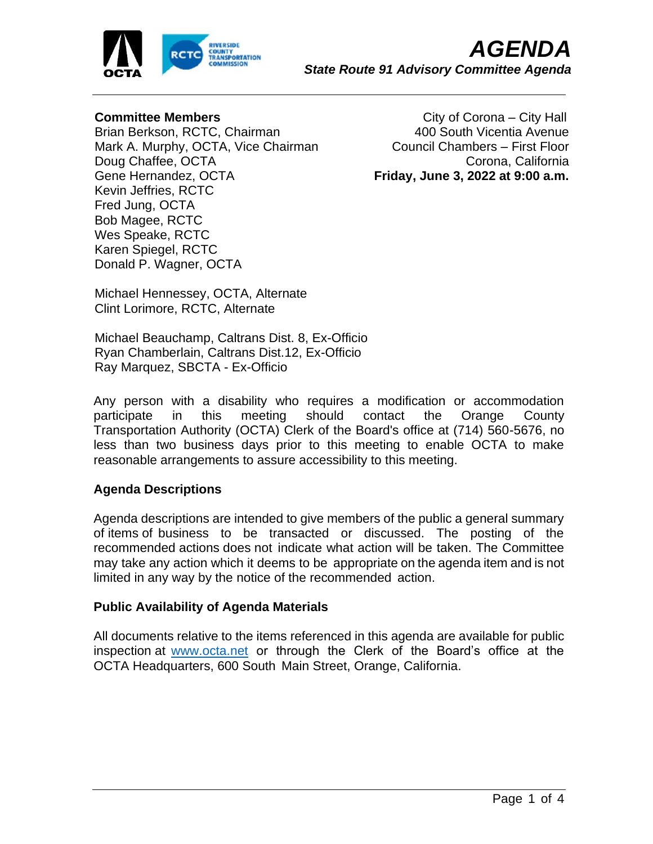

### **Committee Members**

Brian Berkson, RCTC, Chairman Mark A. Murphy, OCTA, Vice Chairman Doug Chaffee, OCTA Gene Hernandez, OCTA Kevin Jeffries, RCTC Fred Jung, OCTA Bob Magee, RCTC Wes Speake, RCTC Karen Spiegel, RCTC Donald P. Wagner, OCTA

 City of Corona – City Hall 400 South Vicentia Avenue Council Chambers – First Floor Corona, California **Friday, June 3, 2022 at 9:00 a.m.**

Michael Hennessey, OCTA, Alternate Clint Lorimore, RCTC, Alternate

Michael Beauchamp, Caltrans Dist. 8, Ex-Officio Ryan Chamberlain, Caltrans Dist.12, Ex-Officio Ray Marquez, SBCTA - Ex-Officio

Any person with a disability who requires a modification or accommodation participate in this meeting should contact the Orange County Transportation Authority (OCTA) Clerk of the Board's office at (714) 560-5676, no less than two business days prior to this meeting to enable OCTA to make reasonable arrangements to assure accessibility to this meeting.

# **Agenda Descriptions**

Agenda descriptions are intended to give members of the public a general summary of items of business to be transacted or discussed. The posting of the recommended actions does not indicate what action will be taken. The Committee may take any action which it deems to be appropriate on the agenda item and is not limited in any way by the notice of the recommended action.

#### **Public Availability of Agenda Materials**

All documents relative to the items referenced in this agenda are available for public inspection at [www.octa.net](http://www.octa.net/) or through the Clerk of the Board's office at the OCTA Headquarters, 600 South Main Street, Orange, California.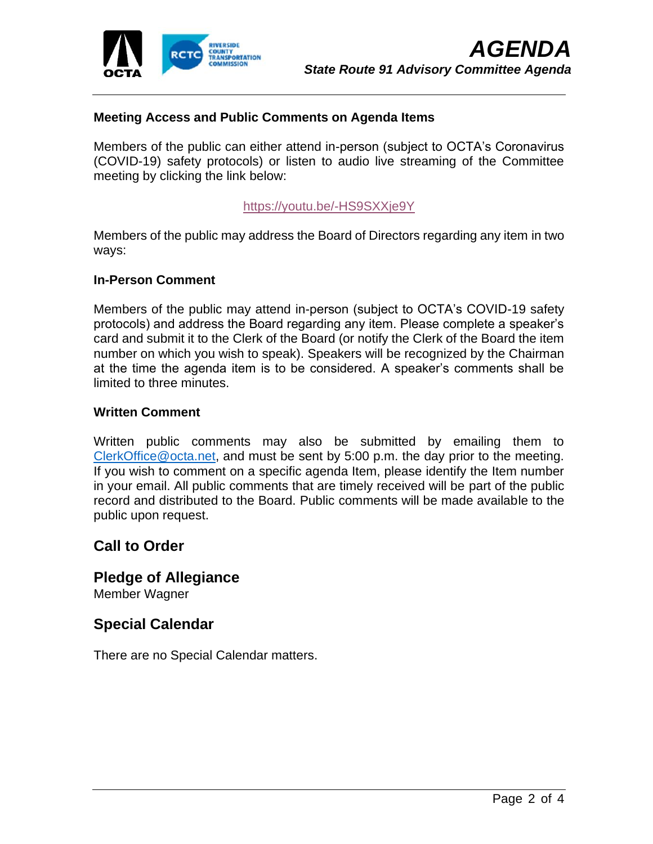

#### **Meeting Access and Public Comments on Agenda Items**

Members of the public can either attend in-person (subject to OCTA's Coronavirus (COVID-19) safety protocols) or listen to audio live streaming of the Committee meeting by clicking the link below:

#### [https://youtu.be/-HS9SXXje9Y](https://nam11.safelinks.protection.outlook.com/?url=https%3A%2F%2Fyoutu.be%2F-HS9SXXje9Y&data=05%7C01%7CsMeisenheimer1%40octa.net%7C6bd129dc0c0c434848a608da3f5522b9%7C1e952f6cc8fc4e38b476ab4dd5449420%7C0%7C0%7C637891932159134862%7CUnknown%7CTWFpbGZsb3d8eyJWIjoiMC4wLjAwMDAiLCJQIjoiV2luMzIiLCJBTiI6Ik1haWwiLCJXVCI6Mn0%3D%7C3000%7C%7C%7C&sdata=JSiTgEc8QRdmgGUUzhAw8uwTWjyZ8nH1FlmCjcvgskY%3D&reserved=0)

Members of the public may address the Board of Directors regarding any item in two ways:

#### **In-Person Comment**

Members of the public may attend in-person (subject to OCTA's COVID-19 safety protocols) and address the Board regarding any item. Please complete a speaker's card and submit it to the Clerk of the Board (or notify the Clerk of the Board the item number on which you wish to speak). Speakers will be recognized by the Chairman at the time the agenda item is to be considered. A speaker's comments shall be limited to three minutes.

#### **Written Comment**

Written public comments may also be submitted by emailing them to [ClerkOffice@octa.net,](mailto:ClerkOffice@octa.net) and must be sent by 5:00 p.m. the day prior to the meeting. If you wish to comment on a specific agenda Item, please identify the Item number in your email. All public comments that are timely received will be part of the public record and distributed to the Board. Public comments will be made available to the public upon request.

# **Call to Order**

**Pledge of Allegiance**

Member Wagner

# **Special Calendar**

There are no Special Calendar matters.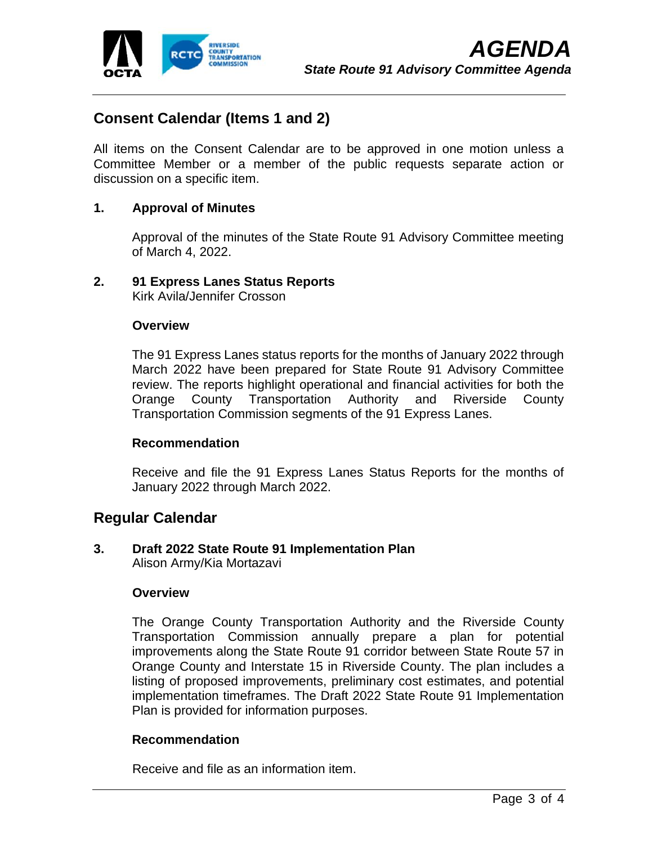

# **Consent Calendar (Items 1 and 2)**

All items on the Consent Calendar are to be approved in one motion unless a Committee Member or a member of the public requests separate action or discussion on a specific item.

#### **1. Approval of Minutes**

Approval of the minutes of the State Route 91 Advisory Committee meeting of March 4, 2022.

# **2. 91 Express Lanes Status Reports**

Kirk Avila/Jennifer Crosson

#### **Overview**

The 91 Express Lanes status reports for the months of January 2022 through March 2022 have been prepared for State Route 91 Advisory Committee review. The reports highlight operational and financial activities for both the Orange County Transportation Authority and Riverside County Transportation Commission segments of the 91 Express Lanes.

#### **Recommendation**

Receive and file the 91 Express Lanes Status Reports for the months of January 2022 through March 2022.

# **Regular Calendar**

**3. Draft 2022 State Route 91 Implementation Plan** Alison Army/Kia Mortazavi

#### **Overview**

The Orange County Transportation Authority and the Riverside County Transportation Commission annually prepare a plan for potential improvements along the State Route 91 corridor between State Route 57 in Orange County and Interstate 15 in Riverside County. The plan includes a listing of proposed improvements, preliminary cost estimates, and potential implementation timeframes. The Draft 2022 State Route 91 Implementation Plan is provided for information purposes.

#### **Recommendation**

Receive and file as an information item.